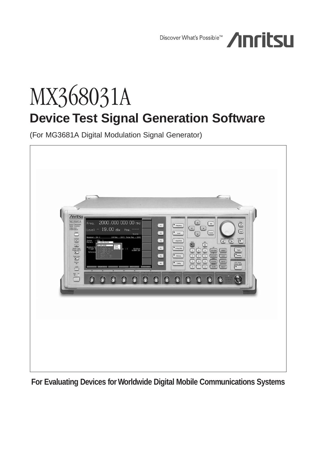Discover What's Possible™



# MX368031A **Device Test Signal Generation Software**

(For MG3681A Digital Modulation Signal Generator)



**For Evaluating Devices for Worldwide Digital Mobile Communications Systems**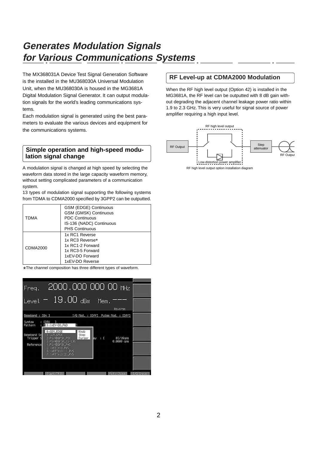# **Generates Modulation Signals for Various Communications Systems**

The MX368031A Device Test Signal Generation Software is the installed in the MU368030A Universal Modulation Unit, when the MU368030A is housed in the MG3681A Digital Modulation Signal Generator. It can output modulation signals for the world's leading communications systems.

Each modulation signal is generated using the best parameters to evaluate the various devices and equipment for the communications systems.

# **Simple operation and high-speed modulation signal change**

A modulation signal is changed at high speed by selecting the waveform data stored in the large capacity waveform memory, without setting complicated parameters of a communication system.

13 types of modulation signal supporting the following systems from TDMA to CDMA2000 specified by 3GPP2 can be outputted.

| <b>TDMA</b> | GSM (EDGE) Continuous<br>GSM (GMSK) Continuous<br><b>PDC Continuous</b>                                         |
|-------------|-----------------------------------------------------------------------------------------------------------------|
|             | IS-136 (NADC) Continuous<br><b>PHS Continuous</b>                                                               |
| CDMA2000    | 1x RC1 Reverse<br>1x RC3 Reverse*<br>1x RC1-2 Forward<br>1x RC3-5 Forward<br>1xEV-DO Forward<br>1xEV-DO Reverse |

\* The channel composition has three different types of waveform.



# **RF Level-up at CDMA2000 Modulation**

When the RF high level output (Option 42) is installed in the MG3681A, the RF level can be outputted with 8 dB gain without degrading the adjacent channel leakage power ratio within 1.9 to 2.3 GHz. This is very useful for signal source of power amplifier requiring a high input level.

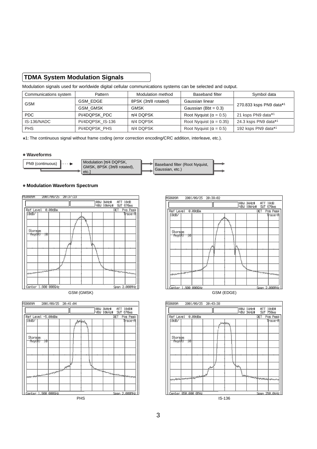# **TDMA System Modulation Signals**

Modulation signals used for worldwide digital cellular communications systems can be selected and output.

| Communications system | Pattern          | Modulation method               | <b>Baseband filter</b>          | Symbol data             |  |
|-----------------------|------------------|---------------------------------|---------------------------------|-------------------------|--|
| GSM                   | GSM EDGE         | 8PSK $(3\pi/8 \text{ rotated})$ | Gaussian linear                 |                         |  |
|                       | <b>GSM GMSK</b>  | GMSK                            | Gaussian (Bbt = $0.3$ )         | 270.833 ksps PN9 data*1 |  |
| PDC.                  | Pi/4DQPSK PDC    | $\pi$ /4 DOPSK                  | Root Nyquist ( $\alpha$ = 0.5)  | 21 ksps PN9 data*1      |  |
| IS-136/NADC           | Pi/4DQPSK IS-136 | $\pi$ /4 DOPSK                  | Root Nyquist ( $\alpha$ = 0.35) | 24.3 ksps PN9 data*1    |  |
| <b>PHS</b>            | Pi/4DQPSK PHS    | $\pi$ /4 DOPSK                  | Root Nyquist ( $\alpha$ = 0.5)  | 192 ksps PN9 data*1     |  |

1: The continuous signal without frame coding (error correction encoding/CRC addition, interleave, etc.). \*

#### **• Waveforms**



#### **• Modulation Waveform Spectrum**









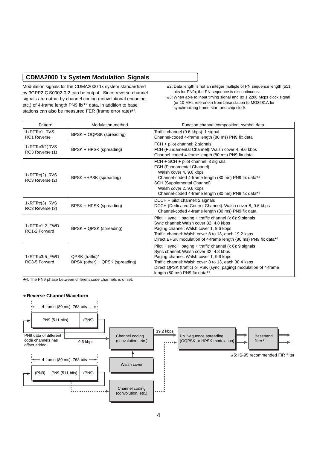# **CDMA2000 1x System Modulation Signals**

Modulation signals for the CDMA2000 1x system standardized by 3GPP2 C.S0002-0-2 can be output. Since reverse channel signals are output by channel coding (convolutional encoding, etc.) of 4-frame length PN9 fix\*2 data, in addition to base stations can also be measured FER (frame error rate)\*3.

- \*2: Data length is not an integer multiple of PN sequence length (511)<br>hite for PN0): the PN sequence is discontinuous bits for PN9); the PN sequence is discontinuous.
- \*3: When able to input timing signal and 8x 1.2288 Mcps clock signal<br>(or 10 MHz reference) from bose station to MC3681A for (or 10 MHz reference) from base station to MG3681A for synchronizing frame start and chip clock.

| Pattern                            | Modulation method                                  | Function channel composition, symbol data                                                                                                                                                                                                                                                                      |
|------------------------------------|----------------------------------------------------|----------------------------------------------------------------------------------------------------------------------------------------------------------------------------------------------------------------------------------------------------------------------------------------------------------------|
| 1xRTTrc1 RVS<br><b>RC1 Reverse</b> | BPSK + OQPSK (spreading)                           | Traffic channel (9.6 kbps): 1 signal<br>Channel-coded 4-frame length (80 ms) PN9 fix data                                                                                                                                                                                                                      |
| 1xRTTrc3(1)RVS<br>RC3 Reverse (1)  | BPSK + HPSK (spreading)                            | FCH + pilot channel: 2 signals<br>FCH (Fundamental Channel): Walsh cover 4, 9.6 kbps<br>Channel-coded 4-frame length (80 ms) PN9 fix data                                                                                                                                                                      |
| 1xRTTrc(2)_RVS<br>RC3 Reverse (2)  | BPSK +HPSK (spreading)                             | $FCH + SCH + pilot channel: 3 signals$<br>FCH (Fundamental Channel)<br>Walsh cover 4, 9.6 kbps<br>Channel-coded 4-frame length (80 ms) PN9 fix data*4<br>SCH (Supplemental Channel)<br>Walsh cover 2, 9.6 kbps<br>Channel-coded 4-frame length (80 ms) PN9 fix data*4                                          |
| 1xRTTrc(3)_RVS<br>RC3 Reverse (3)  | BPSK + HPSK (spreading)                            | DCCH + pilot channel: 2 signals<br>DCCH (Dedicated Control Channel): Walsh cover 8, 9.6 kbps<br>Channel-coded 4-frame length (80 ms) PN9 fix data                                                                                                                                                              |
| 1xRTTrc1-2 FWD<br>RC1-2 Forward    | BPSK + QPSK (spreading)                            | Pilot + sync + paging + traffic channel $(x 6)$ : 9 signals<br>Sync channel: Walsh cover 32, 4.8 kbps<br>Paging channel: Walsh cover 1, 9.6 kbps<br>Traffic channel: Walsh cover 8 to 13, each 19.2 ksps<br>Direct BPSK modulation of 4-frame length (80 ms) PN9 fix data*4                                    |
| 1xRTTrc3-5 FWD<br>RC3-5 Forward    | QPSK (traffic)/<br>BPSK (other) + QPSK (spreading) | Pilot + sync + paging + traffic channel $(x 6)$ : 9 signals<br>Sync channel: Walsh cover 32, 4.8 kbps<br>Paging channel: Walsh cover 1, 9.6 kbps<br>Traffic channel: Walsh cover 8 to 13, each 38.4 ksps<br>Direct QPSK (traffic) or PSK (sync, paging) modulation of 4-frame<br>length (80 ms) PN9 fix data*4 |

\*4: The PN9 phase between different code channels is offset.

#### **• Reverse Channel Waveform**

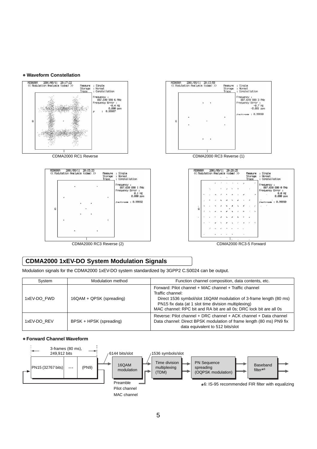#### **• Waveform Constellation**



# **CDMA2000 1xEV-DO System Modulation Signals**

Modulation signals for the CDMA2000 1xEV-DO system standardized by 3GPP2 C.S0024 can be output.

| System      | Modulation method        | Function channel composition, data contents, etc.                                                                                                                                                                                                                               |
|-------------|--------------------------|---------------------------------------------------------------------------------------------------------------------------------------------------------------------------------------------------------------------------------------------------------------------------------|
| 1xEV-DO FWD | 16QAM + QPSK (spreading) | Forward: Pilot channel + MAC channel + Traffic channel<br>Traffic channel:<br>Direct 1536 symbol/slot 16QAM modulation of 3-frame length (80 ms)<br>PN15 fix data (at 1 slot time division multiplexing)<br>MAC channel: RPC bit and RA bit are all 0s; DRC lock bit are all 0s |
| 1xEV-DO REV | BPSK + HPSK (spreading)  | Reverse: Pilot channel + DRC channel + ACK channel + Data channel<br>Data channel: Direct BPSK modulation of frame length (80 ms) PN9 fix<br>data equivalent to 512 bits/slot                                                                                                   |

#### **• Forward Channel Waveform**

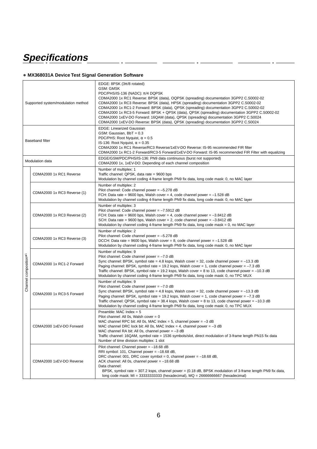# **Specifications**

## **• MX368031A Device Test Signal Generation Software**

 $\ddot{\phantom{0}}$ 

J.

 $\overline{\phantom{a}}$ i.

| Supported system/modulation method |                             | EDGE: 8PSK $(3\pi/8 \text{ rotated})$<br><b>GSM: GMSK</b><br>PDC/PHS/IS-136 (NADC): $\pi/4$ DQPSK<br>CDMA2000 1x RC1 Reverse: BPSK (data), OQPSK (spreading) documentation 3GPP2 C.S0002-02<br>CDMA2000 1x RC3 Reverse: BPSK (data), HPSK (spreading) documentation 3GPP2 C.S0002-02<br>CDMA2000 1x RC1-2 Forward: BPSK (data), QPSK (spreading) documentation 3GPP2 C.S0002-02<br>CDMA2000 1x RC3-5 Forward: BPSK + QPSK (data), QPSK (spreading) documentation 3GPP2 C.S0002-02<br>CDMA2000 1xEV-DO Forward: 16QAM (data), QPSK (spreading) documentation 3GPP2 C.S0024<br>CDMA2000 1xEV-DO Reverse: BPSK (data), QPSK (spreading) documentation 3GPP2 C.S0024 |  |
|------------------------------------|-----------------------------|------------------------------------------------------------------------------------------------------------------------------------------------------------------------------------------------------------------------------------------------------------------------------------------------------------------------------------------------------------------------------------------------------------------------------------------------------------------------------------------------------------------------------------------------------------------------------------------------------------------------------------------------------------------|--|
| <b>Baseband filter</b>             |                             | <b>EDGE: Linearized Gaussian</b><br>GSM: Gaussian, BbT = 0.3<br>PDC/PHS: Root Nyquist, $\alpha = 0.5$<br>IS-136: Root Nyquist, $\alpha = 0.35$<br>CDMA2000 1x RC1 Reverse/RC3 Reverse/1xEV-DO Reverse: IS-95 recommended FIR filter<br>CDMA2000 1x RC1-2 Forward/RC3-5 Forward/1xEV-DO Forward: IS-95 recommended FIR Filter with equalizing                                                                                                                                                                                                                                                                                                                     |  |
| Modulation data                    |                             | EDGE/GSM/PDC/PHS/IS-136: PN9 data continuous (burst not supported)<br>CDMA2000 1x, 1xEV-DO: Depending of each channel composition                                                                                                                                                                                                                                                                                                                                                                                                                                                                                                                                |  |
| Channel composition*1              | CDMA2000 1x RC1 Reverse     | Number of multiplex: 1<br>Traffic channel: QPSK, data rate = 9600 bps<br>Modulation by channel coding 4-frame length PN9 fix data, long code mask: 0, no MAC layer                                                                                                                                                                                                                                                                                                                                                                                                                                                                                               |  |
|                                    | CDMA2000 1x RC3 Reverse (1) | Number of multiplex: 2<br>Pilot channel: Code channel power = $-5.278$ dB<br>FCH: Data rate = 9600 bps, Walsh cover = 4, code channel power = $-1.528$ dB<br>Modulation by channel coding 4-frame length PN9 fix data, long code mask: 0, no MAC layer                                                                                                                                                                                                                                                                                                                                                                                                           |  |
|                                    | CDMA2000 1x RC3 Reverse (2) | Number of multiplex: 3<br>Pilot channel: Code channel power = $-7.5912$ dB<br>FCH: Data rate = 9600 bps, Walsh cover = 4, code channel power = $-3.8412$ dB<br>SCH: Data rate = 9600 bps, Walsh cover = 2, code channel power = $-3.8412$ dB<br>Modulation by channel coding 4-frame length PN9 fix data, long code mask = 0, no MAC layer                                                                                                                                                                                                                                                                                                                       |  |
|                                    | CDMA2000 1x RC3 Reverse (3) | Number of multiplex: 2<br>Pilot channel: Code channel power = $-5.278$ dB<br>DCCH: Data rate = 9600 bps, Walsh cover = 8, code channel power = $-1.528$ dB<br>Modulation by channel coding 4-frame length PN9 fix data, long code mask: 0, no MAC layer                                                                                                                                                                                                                                                                                                                                                                                                          |  |
|                                    | CDMA2000 1x RC1-2 Forward   | Number of multiplex: 9<br>Pilot channel: Code channel power = $-7.0$ dB<br>Sync channel: BPSK, symbol rate = 4.8 ksps, Walsh cover = 32, code channel power = $-13.3$ dB<br>Paging channel: BPSK, symbol rate = 19.2 ksps, Walsh cover = 1, code channel power = $-7.3$ dB<br>Traffic channel: BPSK, symbol rate = 19.2 ksps, Walsh cover = 8 to 13, code channel power = $-10.3$ dB<br>Modulation by channel coding 4-frame length PN9 fix data, long code mask: 0, no TPC MUX                                                                                                                                                                                  |  |
|                                    | CDMA2000 1x RC3-5 Forward   | Number of multiplex: 9<br>Pilot channel: Code channel power = $-7.0$ dB<br>Sync channel: BPSK, symbol rate = 4.8 ksps, Walsh cover = 32, code channel power = $-13.3$ dB<br>Paging channel: BPSK, symbol rate = 19.2 ksps, Walsh cover = 1, code channel power = $-7.3$ dB<br>Traffic channel: QPSK, symbol rate = 38.4 ksps, Walsh cover = 8 to 13, code channel power = $-10.3$ dB<br>Modulation by channel coding 4-frame length PN9 fix data, long code mask: 0, no TPC MUX                                                                                                                                                                                  |  |
|                                    | CDMA2000 1xEV-DO Forward    | Preamble: MAC Index = $5$<br>Pilot channel: All 0s, Walsh cover $= 0$<br>MAC channel RPC bit: All 0s, MAC Index = 5, channel power = $-3$ dB<br>MAC channel DRC lock bit: All 0s, MAC Index = 4, channel power = $-3$ dB<br>MAC channel RA bit: All 0s, channel power = $-3$ dB<br>Traffic channel: 16QAM, symbol rate = 1536 symbols/slot, direct modulation of 3-frame length PN15 fix data<br>Number of time division multiplex: 1 slot                                                                                                                                                                                                                       |  |
|                                    | CDMA2000 1xEV-DO Reverse    | Pilot channel: Channel power = $-18.68$ dB<br>RRI symbol: 101, Channel power = $-18.68$ dB,<br>DRC channel: 001, DRC cover symbol = 0, channel power = $-18.68$ dB,<br>ACK channel: All 0s, channel power = $-18.68$ dB<br>Data channel:<br>BPSK, symbol rate = 307.2 ksps, channel power = (0.18 dB, BPSK modulation of 3-frame length PN9 fix data,<br>long code mask: MI = $3333333333$ (hexadecimal), MQ = $26666666667$ (hexadecimal)                                                                                                                                                                                                                       |  |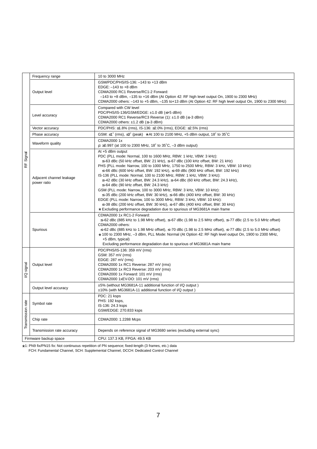|                       | Frequency range                         | 10 to 3000 MHz                                                                                                                                                                                                                                                                                                                                                                                                                                                                                                                                                                                                                                                                                                                                                                                                                                                                                                                                                                                   |  |
|-----------------------|-----------------------------------------|--------------------------------------------------------------------------------------------------------------------------------------------------------------------------------------------------------------------------------------------------------------------------------------------------------------------------------------------------------------------------------------------------------------------------------------------------------------------------------------------------------------------------------------------------------------------------------------------------------------------------------------------------------------------------------------------------------------------------------------------------------------------------------------------------------------------------------------------------------------------------------------------------------------------------------------------------------------------------------------------------|--|
|                       | Output level                            | GSM/PDC/PHS/IS-136: -143 to +13 dBm<br>EDGE: -143 to +8 dBm<br>CDMA2000 RC1 Reverse/RC1-2 Forward:<br>$-143$ to $+8$ dBm, $-135$ to $+16$ dBm (At Option 42: RF high level output On, 1900 to 2300 MHz)<br>CDMA2000 others: -143 to +5 dBm, -135 to+13 dBm (At Option 42: RF high level output On, 1900 to 2300 MHz)                                                                                                                                                                                                                                                                                                                                                                                                                                                                                                                                                                                                                                                                             |  |
|                       | Level accuracy                          | Compared with CW level<br>PDC/PHS/IS-136/GSM/EDGE: ±1.0 dB (≤+5 dBm)<br>CDMA2000 RC1 Reverse/RC3 Reverse (1): $\pm$ 1.0 dB ( $\leq$ -3 dBm)<br>CDMA2000 others: $\pm$ 1.2 dB ( $\le$ –3 dBm)                                                                                                                                                                                                                                                                                                                                                                                                                                                                                                                                                                                                                                                                                                                                                                                                     |  |
|                       | Vector accuracy                         | PDC/PHS: ≤1.8% (rms), IS-136: ≤2.0% (rms), EDGE: ≤2.5% (rms)                                                                                                                                                                                                                                                                                                                                                                                                                                                                                                                                                                                                                                                                                                                                                                                                                                                                                                                                     |  |
|                       | Phase accuracy                          | GSM: $\leq$ 1° (rms), $\leq$ 3° (peak) * At 100 to 2100 MHz, +5 dBm output, 18° to 35°C                                                                                                                                                                                                                                                                                                                                                                                                                                                                                                                                                                                                                                                                                                                                                                                                                                                                                                          |  |
|                       | Waveform quality                        | CDMA2000 1x<br>$p: \ge 0.997$ (at 100 to 2300 MHz, 18° to 35°C, -3 dBm output)                                                                                                                                                                                                                                                                                                                                                                                                                                                                                                                                                                                                                                                                                                                                                                                                                                                                                                                   |  |
| Signal<br>kF          | Adjacent channel leakage<br>power ratio | At +5 dBm output<br>PDC (PLL mode: Normal, 100 to 1600 MHz, RBW: 1 kHz, VBW: 3 kHz):<br>$\le$ -63 dBc (50 kHz offset, BW: 21 kHz), $\le$ -67 dBc (100 kHz offset, BW: 21 kHz)<br>PHS (PLL mode: Narrow, 100 to 1000 MHz, 1750 to 2500 MHz, RBW: 3 kHz, VBW: 10 kHz):<br>$≤$ –66 dBc (600 kHz offset, BW: 192 kHz), $≤$ –69 dBc (900 kHz offset, BW: 192 kHz)<br>IS-136 (PLL mode: Normal, 100 to 2100 MHz, RBW: 1 kHz, VBW: 3 kHz):<br>$\leq$ -42 dBc (30 kHz offset, BW: 24.3 kHz), $\leq$ -64 dBc (60 kHz offset, BW: 24.3 kHz),<br>$\leq$ -64 dBc (90 kHz offset, BW: 24.3 kHz)<br>GSM (PLL mode: Narrow, 100 to 3000 MHz, RBW: 3 kHz, VBW: 10 kHz):<br>$\leq$ -35 dBc (200 kHz offset, BW: 30 kHz), $\leq$ -66 dBc (400 kHz offset, BW: 30 kHz)<br>EDGE (PLL mode: Narrow, 100 to 3000 MHz, RBW: 3 kHz, VBW: 10 kHz):<br>$\leq$ 38 dBc (200 kHz offset, BW: 30 kHz), $\leq$ 67 dBc (400 kHz offset, BW: 30 kHz)<br>* Excluding performance degradation due to spurious of MG3681A main frame |  |
|                       | Spurious                                | CDMA2000 1x RC1-2 Forward:<br>$≤$ –62 dBc (885 kHz to 1.98 MHz offset), $≤$ –67 dBc (1.98 to 2.5 MHz offset), $≤$ –77 dBc (2.5 to 5.0 MHz offset)<br>CDMA2000 others:<br>$≤$ –62 dBc (885 kHz to 1.98 MHz offset), $≤$ –70 dBc (1.98 to 2.5 MHz offset), $≤$ –77 dBc (2.5 to 5.0 MHz offset)<br>* 100 to 2300 MHz, -3 dBm, PLL Mode: Normal (At Option 42: RF high level output On, 1900 to 2300 MHz,<br>+5 dBm, typical)<br>Excluding performance degradation due to spurious of MG3681A main frame                                                                                                                                                                                                                                                                                                                                                                                                                                                                                             |  |
| signal<br>g           | Output level                            | PDC/PHS/IS-136: 359 mV (rms)<br>GSM: 357 mV (rms)<br>EDGE: 287 mV (rms)<br>CDMA2000 1x RC1 Reverse: 287 mV (rms)<br>CDMA2000 1x RC3 Reverse: 203 mV (rms)<br>CDMA2000 1x Forward: 101 mV (rms)<br>CDMA2000 1xEV-DO: 101 mV (rms)                                                                                                                                                                                                                                                                                                                                                                                                                                                                                                                                                                                                                                                                                                                                                                 |  |
|                       | Output level accuracy                   | ±5% (without MG3681A-11 additional function of I/Q output)<br>±10% (with MG3681A-11 additional function of I/Q output)                                                                                                                                                                                                                                                                                                                                                                                                                                                                                                                                                                                                                                                                                                                                                                                                                                                                           |  |
| Transmission rate     | Symbol rate                             | PDC: 21 ksps<br>PHS: 192 ksps,<br>IS-136: 24.3 ksps<br>GSM/EDGE: 270.833 ksps                                                                                                                                                                                                                                                                                                                                                                                                                                                                                                                                                                                                                                                                                                                                                                                                                                                                                                                    |  |
|                       | Chip rate                               | CDMA2000: 1.2288 Mcps                                                                                                                                                                                                                                                                                                                                                                                                                                                                                                                                                                                                                                                                                                                                                                                                                                                                                                                                                                            |  |
|                       | Transmission rate accuracy              | Depends on reference signal of MG3680 series (excluding external sync)                                                                                                                                                                                                                                                                                                                                                                                                                                                                                                                                                                                                                                                                                                                                                                                                                                                                                                                           |  |
| Firmware backup space |                                         | CPU: 137.3 KB, FPGA: 49.5 KB                                                                                                                                                                                                                                                                                                                                                                                                                                                                                                                                                                                                                                                                                                                                                                                                                                                                                                                                                                     |  |

\*1: PN9 fix/PN15 fix: Not continuous repetition of PN sequence; fixed-length (3 frames, etc.) data FCH: Fundamental Channel, SCH: Supplemental Channel, DCCH: Dedicated Control Channel